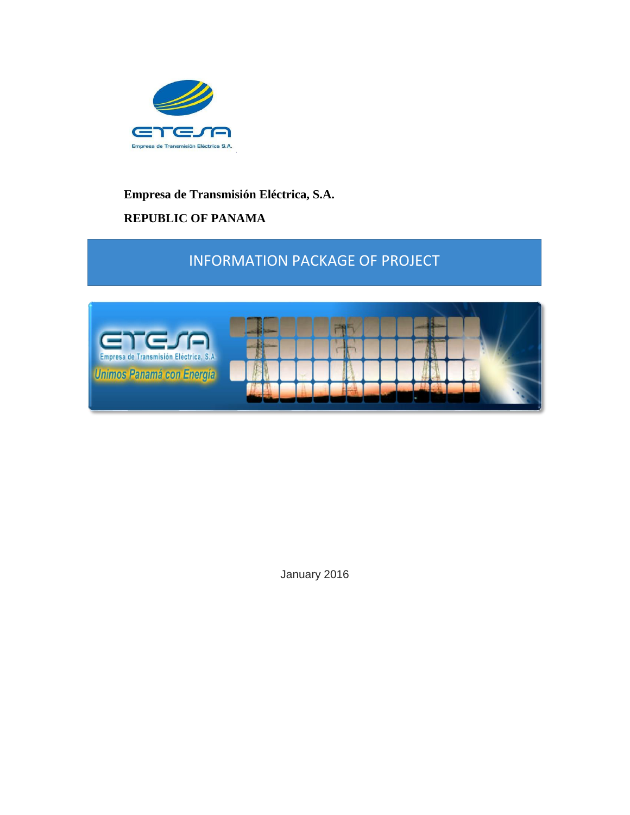

### **Empresa de Transmisión Eléctrica, S.A.**

# **REPUBLIC OF PANAMA**

# INFORMATION PACKAGE OF PROJECT



January 2016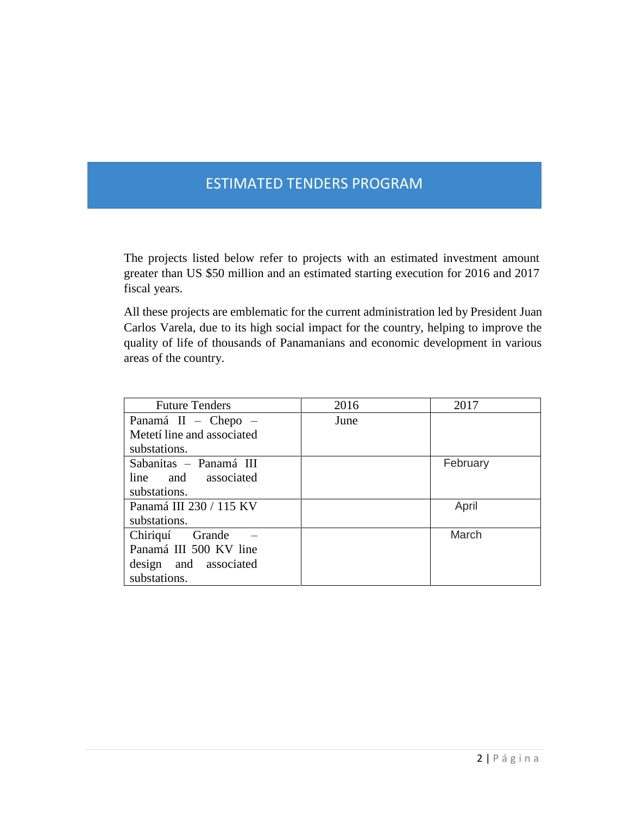# ESTIMATED TENDERS PROGRAM

The projects listed below refer to projects with an estimated investment amount greater than US \$50 million and an estimated starting execution for 2016 and 2017 fiscal years.

All these projects are emblematic for the current administration led by President Juan Carlos Varela, due to its high social impact for the country, helping to improve the quality of life of thousands of Panamanians and economic development in various areas of the country.

| <b>Future Tenders</b>      | 2016 | 2017     |
|----------------------------|------|----------|
| Panamá II - Chepo -        | June |          |
| Metetí line and associated |      |          |
| substations.               |      |          |
| Sabanitas - Panamá III     |      | February |
| line and associated        |      |          |
| substations.               |      |          |
| Panamá III 230 / 115 KV    |      | April    |
| substations.               |      |          |
| Chiriquí Grande            |      | March    |
| Panamá III 500 KV line     |      |          |
| design and associated      |      |          |
| substations.               |      |          |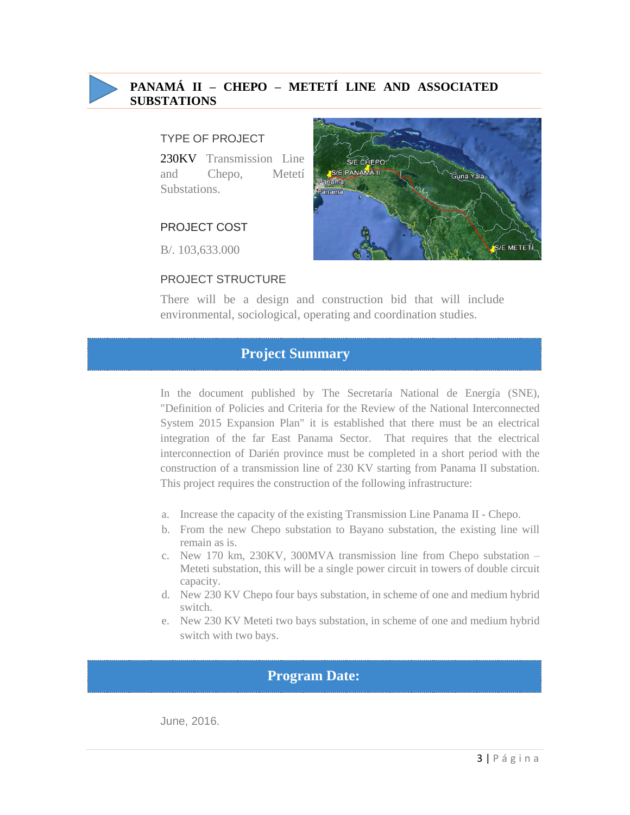

### **PANAMÁ II – CHEPO – METETÍ LINE AND ASSOCIATED SUBSTATIONS**

#### TYPE OF PROJECT

230KV Transmission Line and Chepo, Metetí Substations.

### PROJECT COST

B/. 103,633.000

#### PROJECT STRUCTURE



There will be a design and construction bid that will include environmental, sociological, operating and coordination studies.

### **Project Summary**

In the document published by The Secretaría National de Energía (SNE), "Definition of Policies and Criteria for the Review of the National Interconnected System 2015 Expansion Plan" it is established that there must be an electrical integration of the far East Panama Sector. That requires that the electrical interconnection of Darién province must be completed in a short period with the construction of a transmission line of 230 KV starting from Panama II substation. This project requires the construction of the following infrastructure:

- a. Increase the capacity of the existing Transmission Line Panama II Chepo.
- b. From the new Chepo substation to Bayano substation, the existing line will remain as is.
- c. New 170 km, 230KV, 300MVA transmission line from Chepo substation Meteti substation, this will be a single power circuit in towers of double circuit capacity.
- d. New 230 KV Chepo four bays substation, in scheme of one and medium hybrid switch.
- e. New 230 KV Meteti two bays substation, in scheme of one and medium hybrid switch with two bays.

### **Program Date:**

June, 2016.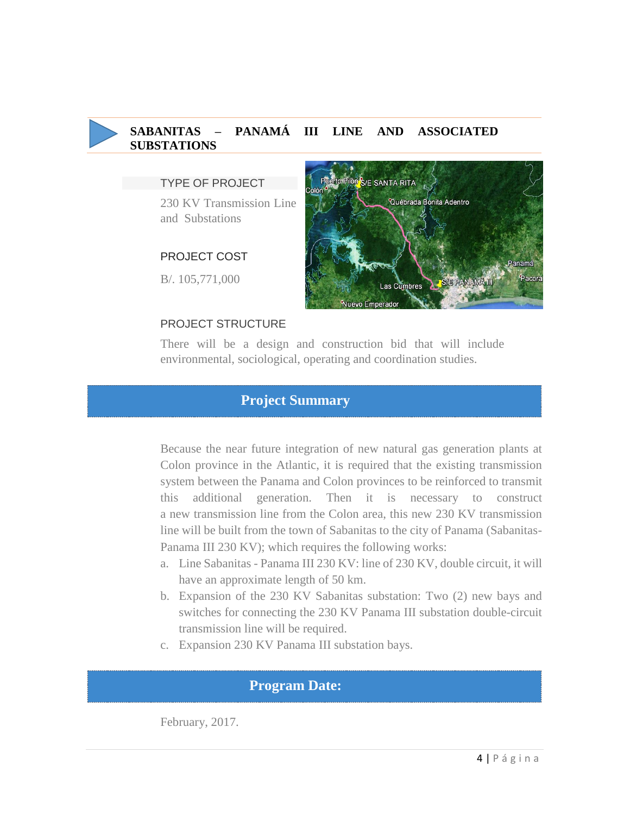# **SABANITAS – PANAMÁ III LINE AND ASSOCIATED SUBSTATIONS**

#### TYPE OF PROJECT

230 KV Transmission Line and Substations

#### PROJECT COST

B/. 105,771,000

### PROJECT STRUCTURE



Quebrada Bonita Adentro

Pilón S/E SANTA RITA

There will be a design and construction bid that will include environmental, sociological, operating and coordination studies.

### **Project Summary**

Because the near future integration of new natural gas generation plants at Colon province in the Atlantic, it is required that the existing transmission system between the Panama and Colon provinces to be reinforced to transmit this additional generation. Then it is necessary to construct a new transmission line from the Colon area, this new 230 KV transmission line will be built from the town of Sabanitas to the city of Panama (Sabanitas-Panama III 230 KV); which requires the following works:

- a. Line Sabanitas Panama III 230 KV: line of 230 KV, double circuit, it will have an approximate length of 50 km.
- b. Expansion of the 230 KV Sabanitas substation: Two (2) new bays and switches for connecting the 230 KV Panama III substation double-circuit transmission line will be required.
- c. Expansion 230 KV Panama III substation bays.

### **Program Date:**

February, 2017.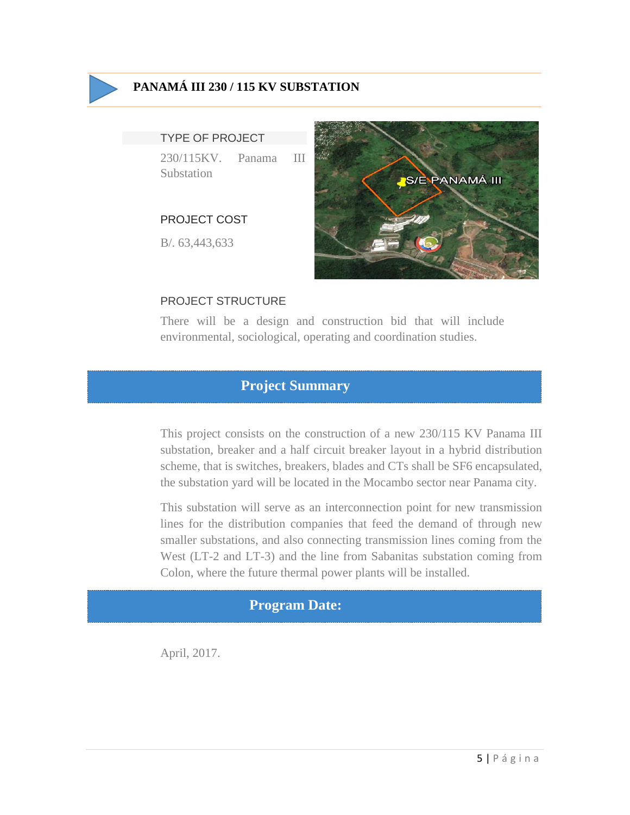

## **PANAMÁ III 230 / 115 KV SUBSTATION**

#### TYPE OF PROJECT

230/115KV. Panama III Substation

### PROJECT COST

B/. 63,443,633



### PROJECT STRUCTURE

There will be a design and construction bid that will include environmental, sociological, operating and coordination studies.

# **Project Summary**

This project consists on the construction of a new 230/115 KV Panama III substation, breaker and a half circuit breaker layout in a hybrid distribution scheme, that is switches, breakers, blades and CTs shall be SF6 encapsulated, the substation yard will be located in the Mocambo sector near Panama city.

This substation will serve as an interconnection point for new transmission lines for the distribution companies that feed the demand of through new smaller substations, and also connecting transmission lines coming from the West (LT-2 and LT-3) and the line from Sabanitas substation coming from Colon, where the future thermal power plants will be installed.

# **Program Date:**

April, 2017.